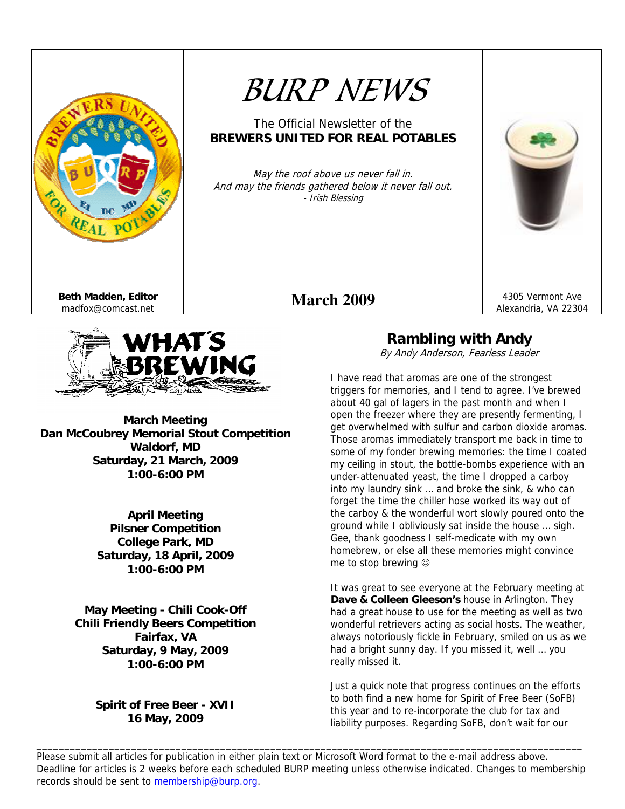



**March Meeting Dan McCoubrey Memorial Stout Competition Waldorf, MD Saturday, 21 March, 2009 1:00-6:00 PM** 

> **April Meeting Pilsner Competition College Park, MD Saturday, 18 April, 2009 1:00-6:00 PM**

**May Meeting - Chili Cook-Off Chili Friendly Beers Competition Fairfax, VA Saturday, 9 May, 2009 1:00-6:00 PM** 

### **Spirit of Free Beer - XVII 16 May, 2009**

### **Rambling with Andy**

By Andy Anderson, Fearless Leader

I have read that aromas are one of the strongest triggers for memories, and I tend to agree. I've brewed about 40 gal of lagers in the past month and when I open the freezer where they are presently fermenting, I get overwhelmed with sulfur and carbon dioxide aromas. Those aromas immediately transport me back in time to some of my fonder brewing memories: the time I coated my ceiling in stout, the bottle-bombs experience with an under-attenuated yeast, the time I dropped a carboy into my laundry sink … and broke the sink, & who can forget the time the chiller hose worked its way out of the carboy & the wonderful wort slowly poured onto the ground while I obliviously sat inside the house … sigh. Gee, thank goodness I self-medicate with my own homebrew, or else all these memories might convince me to stop brewing  $\circledcirc$ 

It was great to see everyone at the February meeting at **Dave & Colleen Gleeson's** house in Arlington. They had a great house to use for the meeting as well as two wonderful retrievers acting as social hosts. The weather, always notoriously fickle in February, smiled on us as we had a bright sunny day. If you missed it, well … you really missed it.

Just a quick note that progress continues on the efforts to both find a new home for Spirit of Free Beer (SoFB) this year and to re-incorporate the club for tax and liability purposes. Regarding SoFB, don't wait for our

Please submit all articles for publication in either plain text or Microsoft Word format to the e-mail address above. Deadline for articles is 2 weeks before each scheduled BURP meeting unless otherwise indicated. Changes to membership records should be sent to membership@burp.org.

\_\_\_\_\_\_\_\_\_\_\_\_\_\_\_\_\_\_\_\_\_\_\_\_\_\_\_\_\_\_\_\_\_\_\_\_\_\_\_\_\_\_\_\_\_\_\_\_\_\_\_\_\_\_\_\_\_\_\_\_\_\_\_\_\_\_\_\_\_\_\_\_\_\_\_\_\_\_\_\_\_\_\_\_\_\_\_\_\_\_\_\_\_\_\_\_\_\_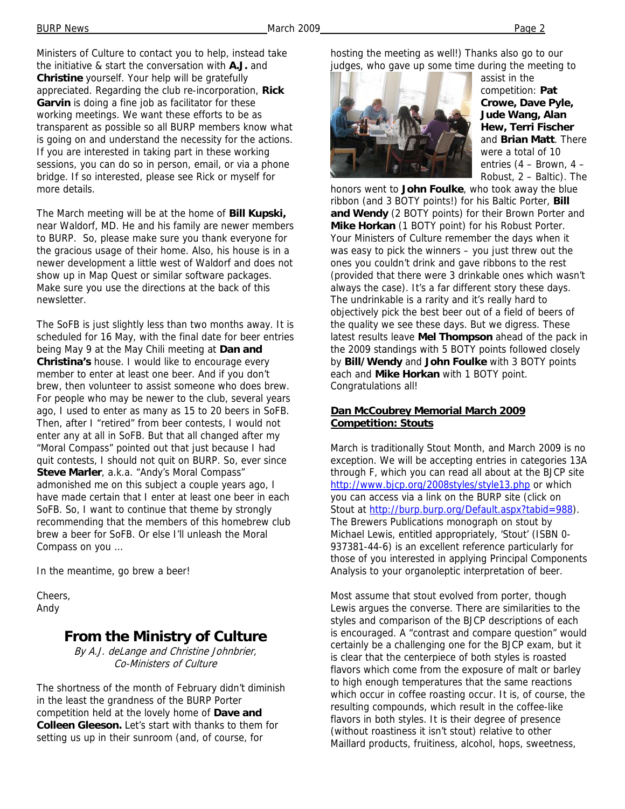Ministers of Culture to contact you to help, instead take the initiative & start the conversation with **A.J.** and **Christine** yourself. Your help will be gratefully appreciated. Regarding the club re-incorporation, **Rick Garvin** is doing a fine job as facilitator for these working meetings. We want these efforts to be as transparent as possible so all BURP members know what is going on and understand the necessity for the actions. If you are interested in taking part in these working sessions, you can do so in person, email, or via a phone bridge. If so interested, please see Rick or myself for more details.

The March meeting will be at the home of **Bill Kupski,** near Waldorf, MD. He and his family are newer members to BURP. So, please make sure you thank everyone for the gracious usage of their home. Also, his house is in a newer development a little west of Waldorf and does not show up in Map Quest or similar software packages. Make sure you use the directions at the back of this newsletter.

The SoFB is just slightly less than two months away. It is scheduled for 16 May, with the final date for beer entries being May 9 at the May Chili meeting at **Dan and Christina's** house. I would like to encourage every member to enter at least one beer. And if you don't brew, then volunteer to assist someone who does brew. For people who may be newer to the club, several years ago, I used to enter as many as 15 to 20 beers in SoFB. Then, after I "retired" from beer contests, I would not enter any at all in SoFB. But that all changed after my "Moral Compass" pointed out that just because I had quit contests, I should not quit on BURP. So, ever since **Steve Marler**, a.k.a. "Andy's Moral Compass" admonished me on this subject a couple years ago, I have made certain that I enter at least one beer in each SoFB. So, I want to continue that theme by strongly recommending that the members of this homebrew club brew a beer for SoFB. Or else I'll unleash the Moral Compass on you …

In the meantime, go brew a beer!

Cheers, Andy

### **From the Ministry of Culture**

By A.J. deLange and Christine Johnbrier, Co-Ministers of Culture

The shortness of the month of February didn't diminish in the least the grandness of the BURP Porter competition held at the lovely home of **Dave and Colleen Gleeson.** Let's start with thanks to them for setting us up in their sunroom (and, of course, for

hosting the meeting as well!) Thanks also go to our judges, who gave up some time during the meeting to



assist in the competition: **Pat Crowe, Dave Pyle, Jude Wang, Alan Hew, Terri Fischer** and **Brian Matt**. There were a total of 10 entries (4 – Brown, 4 – Robust, 2 – Baltic). The

honors went to **John Foulke**, who took away the blue ribbon (and 3 BOTY points!) for his Baltic Porter, **Bill and Wendy** (2 BOTY points) for their Brown Porter and **Mike Horkan** (1 BOTY point) for his Robust Porter. Your Ministers of Culture remember the days when it was easy to pick the winners – you just threw out the ones you couldn't drink and gave ribbons to the rest (provided that there were 3 drinkable ones which wasn't always the case). It's a far different story these days. The undrinkable is a rarity and it's really hard to objectively pick the best beer out of a field of beers of the quality we see these days. But we digress. These latest results leave **Mel Thompson** ahead of the pack in the 2009 standings with 5 BOTY points followed closely by **Bill/Wendy** and **John Foulke** with 3 BOTY points each and **Mike Horkan** with 1 BOTY point. Congratulations all!

#### **Dan McCoubrey Memorial March 2009 Competition: Stouts**

March is traditionally Stout Month, and March 2009 is no exception. We will be accepting entries in categories 13A through F, which you can read all about at the BJCP site http://www.bjcp.org/2008styles/style13.php or which you can access via a link on the BURP site (click on Stout at http://burp.burp.org/Default.aspx?tabid=988). The Brewers Publications monograph on stout by Michael Lewis, entitled appropriately, 'Stout' (ISBN 0- 937381-44-6) is an excellent reference particularly for those of you interested in applying Principal Components Analysis to your organoleptic interpretation of beer.

Most assume that stout evolved from porter, though Lewis argues the converse. There are similarities to the styles and comparison of the BJCP descriptions of each is encouraged. A "contrast and compare question" would certainly be a challenging one for the BJCP exam, but it is clear that the centerpiece of both styles is roasted flavors which come from the exposure of malt or barley to high enough temperatures that the same reactions which occur in coffee roasting occur. It is, of course, the resulting compounds, which result in the coffee-like flavors in both styles. It is their degree of presence (without roastiness it isn't stout) relative to other Maillard products, fruitiness, alcohol, hops, sweetness,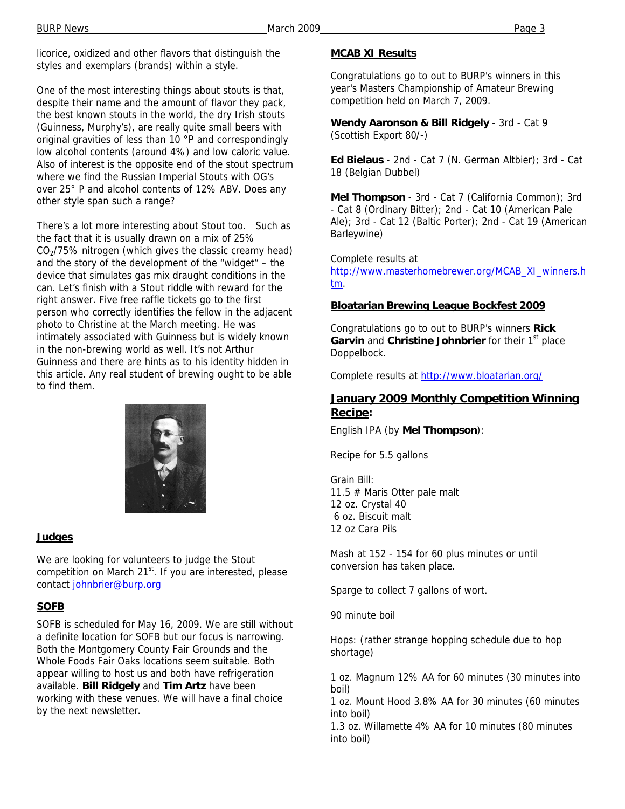licorice, oxidized and other flavors that distinguish the styles and exemplars (brands) within a style.

One of the most interesting things about stouts is that, despite their name and the amount of flavor they pack, the best known stouts in the world, the dry Irish stouts (Guinness, Murphy's), are really quite small beers with original gravities of less than 10 °P and correspondingly low alcohol contents (around 4%) and low caloric value. Also of interest is the opposite end of the stout spectrum where we find the Russian Imperial Stouts with OG's over 25° P and alcohol contents of 12% ABV. Does any other style span such a range?

There's a lot more interesting about Stout too. Such as the fact that it is usually drawn on a mix of 25%  $CO<sub>2</sub>/75%$  nitrogen (which gives the classic creamy head) and the story of the development of the "widget" – the device that simulates gas mix draught conditions in the can. Let's finish with a Stout riddle with reward for the right answer. Five free raffle tickets go to the first person who correctly identifies the fellow in the adjacent photo to Christine at the March meeting. He was intimately associated with Guinness but is widely known in the non-brewing world as well. It's not Arthur Guinness and there are hints as to his identity hidden in this article. Any real student of brewing ought to be able to find them.

**Judges**

We are looking for volunteers to judge the Stout competition on March 21<sup>st</sup>. If you are interested, please contact johnbrier@burp.org

#### **SOFB**

SOFB is scheduled for May 16, 2009. We are still without a definite location for SOFB but our focus is narrowing. Both the Montgomery County Fair Grounds and the Whole Foods Fair Oaks locations seem suitable. Both appear willing to host us and both have refrigeration available. **Bill Ridgely** and **Tim Artz** have been working with these venues. We will have a final choice by the next newsletter.

#### **MCAB XI Results**

Congratulations go to out to BURP's winners in this year's Masters Championship of Amateur Brewing competition held on March 7, 2009.

**Wendy Aaronson & Bill Ridgely** - 3rd - Cat 9 (Scottish Export 80/-)

**Ed Bielaus** - 2nd - Cat 7 (N. German Altbier); 3rd - Cat 18 (Belgian Dubbel)

**Mel Thompson** - 3rd - Cat 7 (California Common); 3rd - Cat 8 (Ordinary Bitter); 2nd - Cat 10 (American Pale Ale); 3rd - Cat 12 (Baltic Porter); 2nd - Cat 19 (American Barleywine)

Complete results at

http://www.masterhomebrewer.org/MCAB\_XI\_winners.h tm.

#### **Bloatarian Brewing League Bockfest 2009**

Congratulations go to out to BURP's winners **Rick Garvin** and **Christine Johnbrier** for their 1<sup>st</sup> place Doppelbock.

Complete results at http://www.bloatarian.org/

#### **January 2009 Monthly Competition Winning Recipe:**

English IPA (by **Mel Thompson**):

Recipe for 5.5 gallons

Grain Bill: 11.5 # Maris Otter pale malt 12 oz. Crystal 40 6 oz. Biscuit malt 12 oz Cara Pils

Mash at 152 - 154 for 60 plus minutes or until conversion has taken place.

Sparge to collect 7 gallons of wort.

90 minute boil

Hops: (rather strange hopping schedule due to hop shortage)

1 oz. Magnum 12% AA for 60 minutes (30 minutes into boil)

1 oz. Mount Hood 3.8% AA for 30 minutes (60 minutes into boil)

1.3 oz. Willamette 4% AA for 10 minutes (80 minutes into boil)

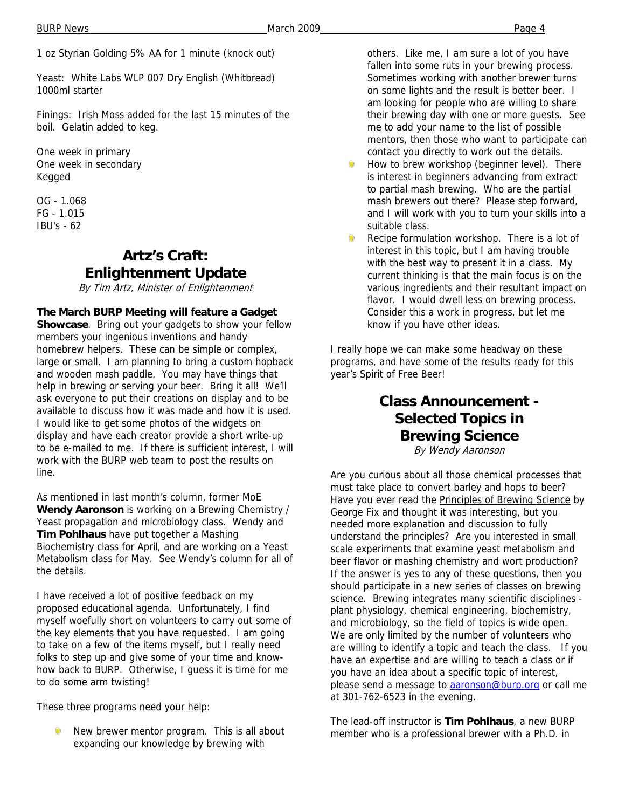Yeast: White Labs WLP 007 Dry English (Whitbread) 1000ml starter

Finings: Irish Moss added for the last 15 minutes of the boil. Gelatin added to keg.

One week in primary One week in secondary Kegged

OG - 1.068 FG - 1.015 IBU's - 62

## **Artz's Craft: Enlightenment Update**

By Tim Artz, Minister of Enlightenment

**The March BURP Meeting will feature a Gadget Showcase**. Bring out your gadgets to show your fellow members your ingenious inventions and handy homebrew helpers. These can be simple or complex, large or small. I am planning to bring a custom hopback and wooden mash paddle. You may have things that help in brewing or serving your beer. Bring it all! We'll ask everyone to put their creations on display and to be available to discuss how it was made and how it is used. I would like to get some photos of the widgets on display and have each creator provide a short write-up to be e-mailed to me. If there is sufficient interest, I will work with the BURP web team to post the results on line.

As mentioned in last month's column, former MoE **Wendy Aaronson** is working on a Brewing Chemistry / Yeast propagation and microbiology class. Wendy and **Tim Pohlhaus** have put together a Mashing Biochemistry class for April, and are working on a Yeast Metabolism class for May. See Wendy's column for all of the details.

I have received a lot of positive feedback on my proposed educational agenda. Unfortunately, I find myself woefully short on volunteers to carry out some of the key elements that you have requested. I am going to take on a few of the items myself, but I really need folks to step up and give some of your time and knowhow back to BURP. Otherwise, I guess it is time for me to do some arm twisting!

These three programs need your help:

New brewer mentor program. This is all about expanding our knowledge by brewing with

others. Like me, I am sure a lot of you have fallen into some ruts in your brewing process. Sometimes working with another brewer turns on some lights and the result is better beer. I am looking for people who are willing to share their brewing day with one or more guests. See me to add your name to the list of possible mentors, then those who want to participate can contact you directly to work out the details.

- Ŵ How to brew workshop (beginner level). There is interest in beginners advancing from extract to partial mash brewing. Who are the partial mash brewers out there? Please step forward, and I will work with you to turn your skills into a suitable class.
- ۵ Recipe formulation workshop. There is a lot of interest in this topic, but I am having trouble with the best way to present it in a class. My current thinking is that the main focus is on the various ingredients and their resultant impact on flavor. I would dwell less on brewing process. Consider this a work in progress, but let me know if you have other ideas.

I really hope we can make some headway on these programs, and have some of the results ready for this year's Spirit of Free Beer!

# **Class Announcement - Selected Topics in Brewing Science**

By Wendy Aaronson

Are you curious about all those chemical processes that must take place to convert barley and hops to beer? Have you ever read the Principles of Brewing Science by George Fix and thought it was interesting, but you needed more explanation and discussion to fully understand the principles? Are you interested in small scale experiments that examine yeast metabolism and beer flavor or mashing chemistry and wort production? If the answer is yes to any of these questions, then you should participate in a new series of classes on brewing science. Brewing integrates many scientific disciplines plant physiology, chemical engineering, biochemistry, and microbiology, so the field of topics is wide open. We are only limited by the number of volunteers who are willing to identify a topic and teach the class. If you have an expertise and are willing to teach a class or if you have an idea about a specific topic of interest, please send a message to **aaronson@burp.org** or call me at 301-762-6523 in the evening.

The lead-off instructor is **Tim Pohlhaus**, a new BURP member who is a professional brewer with a Ph.D. in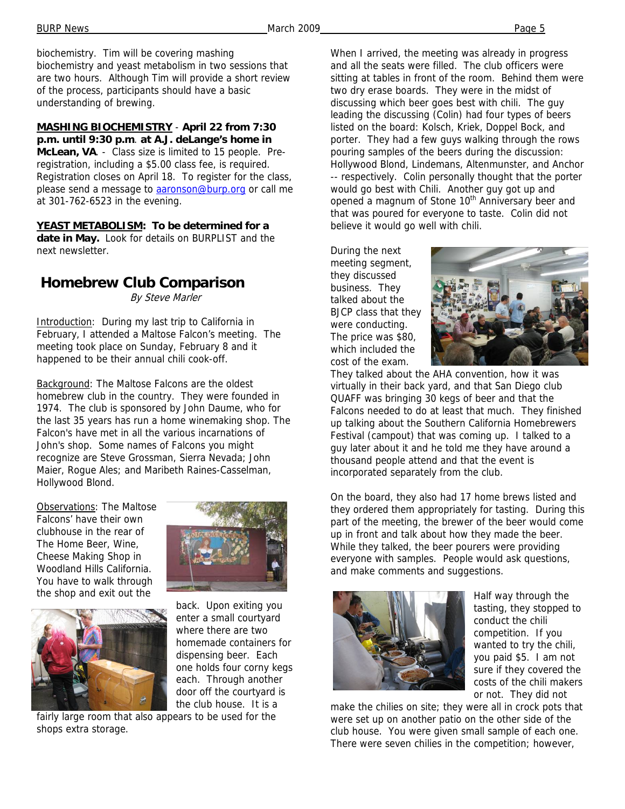biochemistry. Tim will be covering mashing biochemistry and yeast metabolism in two sessions that are two hours. Although Tim will provide a short review of the process, participants should have a basic understanding of brewing.

**MASHING BIOCHEMISTRY** - **April 22 from 7:30 p.m. until 9:30 p.m**. **at A.J. deLange's home in McLean, VA**. - Class size is limited to 15 people. Preregistration, including a \$5.00 class fee, is required. Registration closes on April 18. To register for the class, please send a message to aaronson@burp.org or call me at 301-762-6523 in the evening.

**YEAST METABOLISM: To be determined for a date in May.** Look for details on BURPLIST and the next newsletter.

## **Homebrew Club Comparison**

By Steve Marler

Introduction: During my last trip to California in February, I attended a Maltose Falcon's meeting. The meeting took place on Sunday, February 8 and it happened to be their annual chili cook-off.

Background: The Maltose Falcons are the oldest homebrew club in the country. They were founded in 1974. The club is sponsored by John Daume, who for the last 35 years has run a home winemaking shop. The Falcon's have met in all the various incarnations of John's shop. Some names of Falcons you might recognize are Steve Grossman, Sierra Nevada; John Maier, Rogue Ales; and Maribeth Raines-Casselman, Hollywood Blond.

Observations: The Maltose Falcons' have their own clubhouse in the rear of The Home Beer, Wine, Cheese Making Shop in Woodland Hills California. You have to walk through the shop and exit out the





back. Upon exiting you enter a small courtyard where there are two homemade containers for dispensing beer. Each one holds four corny kegs each. Through another door off the courtyard is the club house. It is a

fairly large room that also appears to be used for the shops extra storage.

When I arrived, the meeting was already in progress and all the seats were filled. The club officers were sitting at tables in front of the room. Behind them were two dry erase boards. They were in the midst of discussing which beer goes best with chili. The guy leading the discussing (Colin) had four types of beers listed on the board: Kolsch, Kriek, Doppel Bock, and porter. They had a few guys walking through the rows pouring samples of the beers during the discussion: Hollywood Blond, Lindemans, Altenmunster, and Anchor -- respectively. Colin personally thought that the porter would go best with Chili. Another guy got up and opened a magnum of Stone 10<sup>th</sup> Anniversary beer and that was poured for everyone to taste. Colin did not believe it would go well with chili.

During the next meeting segment, they discussed business. They talked about the BJCP class that they were conducting. The price was \$80, which included the cost of the exam.



They talked about the AHA convention, how it was virtually in their back yard, and that San Diego club QUAFF was bringing 30 kegs of beer and that the Falcons needed to do at least that much. They finished up talking about the Southern California Homebrewers Festival (campout) that was coming up. I talked to a guy later about it and he told me they have around a thousand people attend and that the event is incorporated separately from the club.

On the board, they also had 17 home brews listed and they ordered them appropriately for tasting. During this part of the meeting, the brewer of the beer would come up in front and talk about how they made the beer. While they talked, the beer pourers were providing everyone with samples. People would ask questions, and make comments and suggestions.



Half way through the tasting, they stopped to conduct the chili competition. If you wanted to try the chili, you paid \$5. I am not sure if they covered the costs of the chili makers or not. They did not

make the chilies on site; they were all in crock pots that were set up on another patio on the other side of the club house. You were given small sample of each one. There were seven chilies in the competition; however,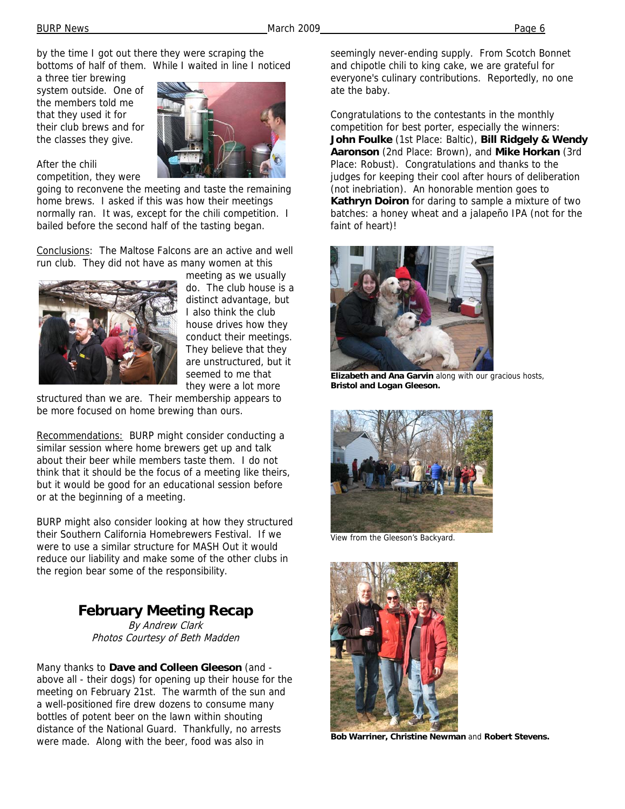After the chili

by the time I got out there they were scraping the bottoms of half of them. While I waited in line I noticed

a three tier brewing system outside. One of the members told me that they used it for their club brews and for the classes they give.

competition, they were



going to reconvene the meeting and taste the remaining home brews. I asked if this was how their meetings normally ran. It was, except for the chili competition. I bailed before the second half of the tasting began.

Conclusions: The Maltose Falcons are an active and well run club. They did not have as many women at this



meeting as we usually do. The club house is a distinct advantage, but I also think the club house drives how they conduct their meetings. They believe that they are unstructured, but it seemed to me that they were a lot more

structured than we are. Their membership appears to be more focused on home brewing than ours.

Recommendations: BURP might consider conducting a similar session where home brewers get up and talk about their beer while members taste them. I do not think that it should be the focus of a meeting like theirs, but it would be good for an educational session before or at the beginning of a meeting.

BURP might also consider looking at how they structured their Southern California Homebrewers Festival. If we were to use a similar structure for MASH Out it would reduce our liability and make some of the other clubs in the region bear some of the responsibility.

# **February Meeting Recap**

By Andrew Clark Photos Courtesy of Beth Madden

Many thanks to **Dave and Colleen Gleeson** (and above all - their dogs) for opening up their house for the meeting on February 21st. The warmth of the sun and a well-positioned fire drew dozens to consume many bottles of potent beer on the lawn within shouting distance of the National Guard. Thankfully, no arrests were made. Along with the beer, food was also in

seemingly never-ending supply. From Scotch Bonnet and chipotle chili to king cake, we are grateful for everyone's culinary contributions. Reportedly, no one ate the baby.

Congratulations to the contestants in the monthly competition for best porter, especially the winners: **John Foulke** (1st Place: Baltic), **Bill Ridgely & Wendy Aaronson** (2nd Place: Brown), and **Mike Horkan** (3rd Place: Robust). Congratulations and thanks to the judges for keeping their cool after hours of deliberation (not inebriation). An honorable mention goes to **Kathryn Doiron** for daring to sample a mixture of two batches: a honey wheat and a jalapeño IPA (not for the faint of heart)!



**Elizabeth and Ana Garvin** along with our gracious hosts, **Bristol and Logan Gleeson.**



View from the Gleeson's Backyard.



**Bob Warriner, Christine Newman** and **Robert Stevens.**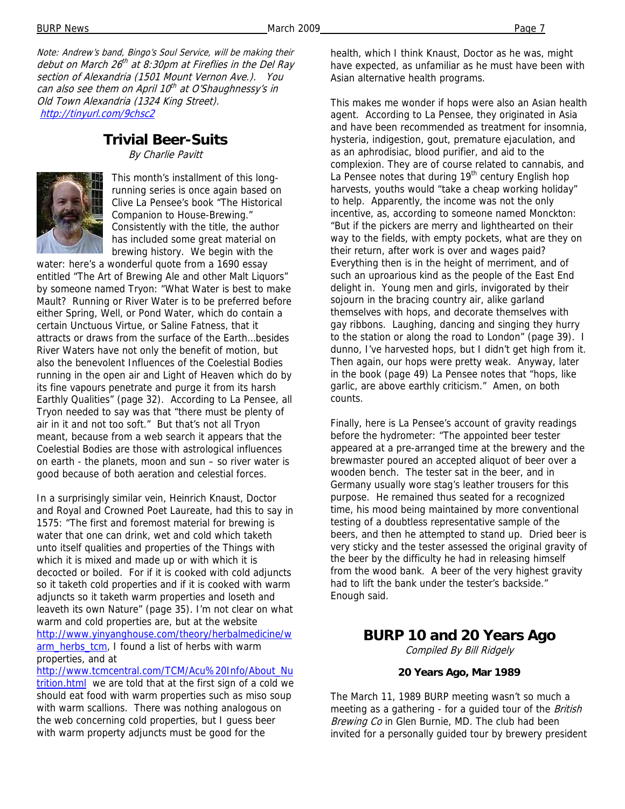BURP News March 2009 Page 7

Note: Andrew's band, Bingo's Soul Service, will be making their debut on March 26th at 8:30pm at Fireflies in the Del Ray section of Alexandria (1501 Mount Vernon Ave.). You can also see them on April 10<sup>th</sup> at O'Shaughnessy's in Old Town Alexandria (1324 King Street). http://tinyurl.com/9chsc2

### **Trivial Beer-Suits**

By Charlie Pavitt



This month's installment of this longrunning series is once again based on Clive La Pensee's book "The Historical Companion to House-Brewing." Consistently with the title, the author has included some great material on brewing history. We begin with the

water: here's a wonderful quote from a 1690 essay entitled "The Art of Brewing Ale and other Malt Liquors" by someone named Tryon: "What Water is best to make Mault? Running or River Water is to be preferred before either Spring, Well, or Pond Water, which do contain a certain Unctuous Virtue, or Saline Fatness, that it attracts or draws from the surface of the Earth…besides River Waters have not only the benefit of motion, but also the benevolent Influences of the Coelestial Bodies running in the open air and Light of Heaven which do by its fine vapours penetrate and purge it from its harsh Earthly Qualities" (page 32). According to La Pensee, all Tryon needed to say was that "there must be plenty of air in it and not too soft." But that's not all Tryon meant, because from a web search it appears that the Coelestial Bodies are those with astrological influences on earth - the planets, moon and sun – so river water is good because of both aeration and celestial forces.

In a surprisingly similar vein, Heinrich Knaust, Doctor and Royal and Crowned Poet Laureate, had this to say in 1575: "The first and foremost material for brewing is water that one can drink, wet and cold which taketh unto itself qualities and properties of the Things with which it is mixed and made up or with which it is decocted or boiled. For if it is cooked with cold adjuncts so it taketh cold properties and if it is cooked with warm adjuncts so it taketh warm properties and loseth and leaveth its own Nature" (page 35). I'm not clear on what warm and cold properties are, but at the website http://www.yinyanghouse.com/theory/herbalmedicine/w arm\_herbs\_tcm, I found a list of herbs with warm properties, and at

http://www.tcmcentral.com/TCM/Acu%20Info/About\_Nu trition.html we are told that at the first sign of a cold we should eat food with warm properties such as miso soup with warm scallions. There was nothing analogous on the web concerning cold properties, but I guess beer with warm property adjuncts must be good for the

health, which I think Knaust, Doctor as he was, might have expected, as unfamiliar as he must have been with Asian alternative health programs.

This makes me wonder if hops were also an Asian health agent. According to La Pensee, they originated in Asia and have been recommended as treatment for insomnia, hysteria, indigestion, gout, premature ejaculation, and as an aphrodisiac, blood purifier, and aid to the complexion. They are of course related to cannabis, and La Pensee notes that during  $19<sup>th</sup>$  century English hop harvests, youths would "take a cheap working holiday" to help. Apparently, the income was not the only incentive, as, according to someone named Monckton: "But if the pickers are merry and lighthearted on their way to the fields, with empty pockets, what are they on their return, after work is over and wages paid? Everything then is in the height of merriment, and of such an uproarious kind as the people of the East End delight in. Young men and girls, invigorated by their sojourn in the bracing country air, alike garland themselves with hops, and decorate themselves with gay ribbons. Laughing, dancing and singing they hurry to the station or along the road to London" (page 39). I dunno, I've harvested hops, but I didn't get high from it. Then again, our hops were pretty weak. Anyway, later in the book (page 49) La Pensee notes that "hops, like garlic, are above earthly criticism." Amen, on both counts.

Finally, here is La Pensee's account of gravity readings before the hydrometer: "The appointed beer tester appeared at a pre-arranged time at the brewery and the brewmaster poured an accepted aliquot of beer over a wooden bench. The tester sat in the beer, and in Germany usually wore stag's leather trousers for this purpose. He remained thus seated for a recognized time, his mood being maintained by more conventional testing of a doubtless representative sample of the beers, and then he attempted to stand up. Dried beer is very sticky and the tester assessed the original gravity of the beer by the difficulty he had in releasing himself from the wood bank. A beer of the very highest gravity had to lift the bank under the tester's backside." Enough said.

### **BURP 10 and 20 Years Ago**

Compiled By Bill Ridgely

#### **20 Years Ago, Mar 1989**

The March 11, 1989 BURP meeting wasn't so much a meeting as a gathering - for a guided tour of the British Brewing Co in Glen Burnie, MD. The club had been invited for a personally guided tour by brewery president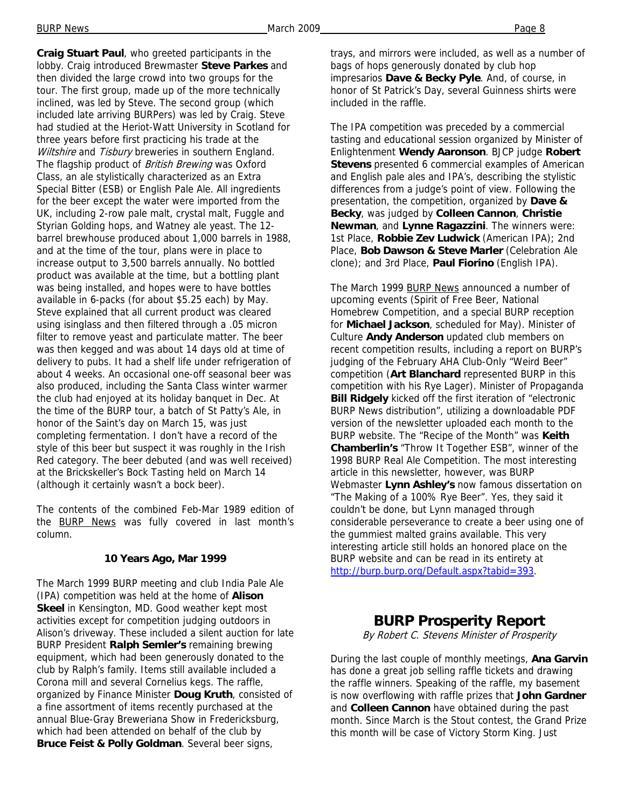**Craig Stuart Paul**, who greeted participants in the lobby. Craig introduced Brewmaster **Steve Parkes** and then divided the large crowd into two groups for the tour. The first group, made up of the more technically inclined, was led by Steve. The second group (which included late arriving BURPers) was led by Craig. Steve had studied at the Heriot-Watt University in Scotland for three years before first practicing his trade at the Wiltshire and Tisbury breweries in southern England. The flagship product of *British Brewing* was Oxford Class, an ale stylistically characterized as an Extra Special Bitter (ESB) or English Pale Ale. All ingredients for the beer except the water were imported from the UK, including 2-row pale malt, crystal malt, Fuggle and Styrian Golding hops, and Watney ale yeast. The 12 barrel brewhouse produced about 1,000 barrels in 1988, and at the time of the tour, plans were in place to increase output to 3,500 barrels annually. No bottled product was available at the time, but a bottling plant was being installed, and hopes were to have bottles available in 6-packs (for about \$5.25 each) by May. Steve explained that all current product was cleared using isinglass and then filtered through a .05 micron filter to remove yeast and particulate matter. The beer was then kegged and was about 14 days old at time of delivery to pubs. It had a shelf life under refrigeration of about 4 weeks. An occasional one-off seasonal beer was also produced, including the Santa Class winter warmer the club had enjoyed at its holiday banquet in Dec. At the time of the BURP tour, a batch of St Patty's Ale, in honor of the Saint's day on March 15, was just

completing fermentation. I don't have a record of the style of this beer but suspect it was roughly in the Irish Red category. The beer debuted (and was well received) at the Brickskeller's Bock Tasting held on March 14 (although it certainly wasn't a bock beer).

The contents of the combined Feb-Mar 1989 edition of the **BURP** News was fully covered in last month's column.

#### **10 Years Ago, Mar 1999**

The March 1999 BURP meeting and club India Pale Ale (IPA) competition was held at the home of **Alison Skeel** in Kensington, MD. Good weather kept most activities except for competition judging outdoors in Alison's driveway. These included a silent auction for late BURP President **Ralph Semler's** remaining brewing equipment, which had been generously donated to the club by Ralph's family. Items still available included a Corona mill and several Cornelius kegs. The raffle, organized by Finance Minister **Doug Kruth**, consisted of a fine assortment of items recently purchased at the annual Blue-Gray Breweriana Show in Fredericksburg, which had been attended on behalf of the club by **Bruce Feist & Polly Goldman**. Several beer signs,

trays, and mirrors were included, as well as a number of bags of hops generously donated by club hop impresarios **Dave & Becky Pyle**. And, of course, in honor of St Patrick's Day, several Guinness shirts were included in the raffle.

The IPA competition was preceded by a commercial tasting and educational session organized by Minister of Enlightenment **Wendy Aaronson**. BJCP judge **Robert Stevens** presented 6 commercial examples of American and English pale ales and IPA's, describing the stylistic differences from a judge's point of view. Following the presentation, the competition, organized by **Dave & Becky**, was judged by **Colleen Cannon**, **Christie Newman**, and **Lynne Ragazzini**. The winners were: 1st Place, **Robbie Zev Ludwick** (American IPA); 2nd Place, **Bob Dawson & Steve Marler** (Celebration Ale clone); and 3rd Place, **Paul Fiorino** (English IPA).

The March 1999 BURP News announced a number of upcoming events (Spirit of Free Beer, National Homebrew Competition, and a special BURP reception for **Michael Jackson**, scheduled for May). Minister of Culture **Andy Anderson** updated club members on recent competition results, including a report on BURP's judging of the February AHA Club-Only "Weird Beer" competition (**Art Blanchard** represented BURP in this competition with his Rye Lager). Minister of Propaganda **Bill Ridgely** kicked off the first iteration of "electronic BURP News distribution", utilizing a downloadable PDF version of the newsletter uploaded each month to the BURP website. The "Recipe of the Month" was **Keith Chamberlin's** "Throw It Together ESB", winner of the 1998 BURP Real Ale Competition. The most interesting article in this newsletter, however, was BURP Webmaster **Lynn Ashley's** now famous dissertation on "The Making of a 100% Rye Beer". Yes, they said it couldn't be done, but Lynn managed through considerable perseverance to create a beer using one of the gummiest malted grains available. This very interesting article still holds an honored place on the BURP website and can be read in its entirety at http://burp.burp.org/Default.aspx?tabid=393.

## **BURP Prosperity Report**

By Robert C. Stevens Minister of Prosperity

During the last couple of monthly meetings, **Ana Garvin** has done a great job selling raffle tickets and drawing the raffle winners. Speaking of the raffle, my basement is now overflowing with raffle prizes that **John Gardner** and **Colleen Cannon** have obtained during the past month. Since March is the Stout contest, the Grand Prize this month will be case of Victory Storm King. Just